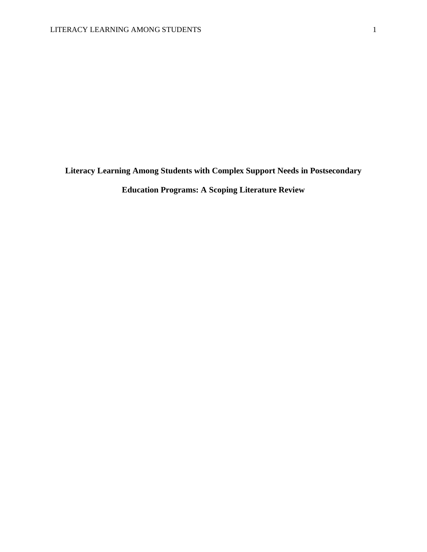**Literacy Learning Among Students with Complex Support Needs in Postsecondary** 

**Education Programs: A Scoping Literature Review**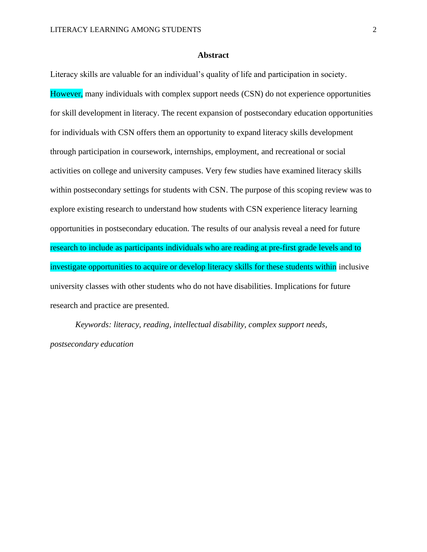#### **Abstract**

Literacy skills are valuable for an individual's quality of life and participation in society. However, many individuals with complex support needs (CSN) do not experience opportunities for skill development in literacy. The recent expansion of postsecondary education opportunities for individuals with CSN offers them an opportunity to expand literacy skills development through participation in coursework, internships, employment, and recreational or social activities on college and university campuses. Very few studies have examined literacy skills within postsecondary settings for students with CSN. The purpose of this scoping review was to explore existing research to understand how students with CSN experience literacy learning opportunities in postsecondary education. The results of our analysis reveal a need for future research to include as participants individuals who are reading at pre-first grade levels and to investigate opportunities to acquire or develop literacy skills for these students within inclusive university classes with other students who do not have disabilities. Implications for future research and practice are presented.

*Keywords: literacy, reading, intellectual disability, complex support needs, postsecondary education*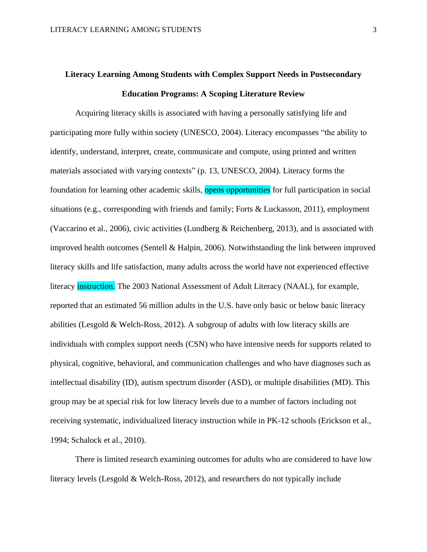# **Literacy Learning Among Students with Complex Support Needs in Postsecondary Education Programs: A Scoping Literature Review**

Acquiring literacy skills is associated with having a personally satisfying life and participating more fully within society (UNESCO, 2004). Literacy encompasses "the ability to identify, understand, interpret, create, communicate and compute, using printed and written materials associated with varying contexts" (p. 13, UNESCO, 2004). Literacy forms the foundation for learning other academic skills, opens opportunities for full participation in social situations (e.g., corresponding with friends and family; Forts & Luckasson, 2011), employment (Vaccarino et al., 2006), civic activities (Lundberg & Reichenberg, 2013), and is associated with improved health outcomes (Sentell & Halpin, 2006). Notwithstanding the link between improved literacy skills and life satisfaction, many adults across the world have not experienced effective literacy instruction. The 2003 National Assessment of Adult Literacy (NAAL), for example, reported that an estimated 56 million adults in the U.S. have only basic or below basic literacy abilities (Lesgold & Welch-Ross, 2012). A subgroup of adults with low literacy skills are individuals with complex support needs (CSN) who have intensive needs for supports related to physical, cognitive, behavioral, and communication challenges and who have diagnoses such as intellectual disability (ID), autism spectrum disorder (ASD), or multiple disabilities (MD). This group may be at special risk for low literacy levels due to a number of factors including not receiving systematic, individualized literacy instruction while in PK-12 schools (Erickson et al., 1994; Schalock et al., 2010).

There is limited research examining outcomes for adults who are considered to have low literacy levels (Lesgold & Welch-Ross, 2012), and researchers do not typically include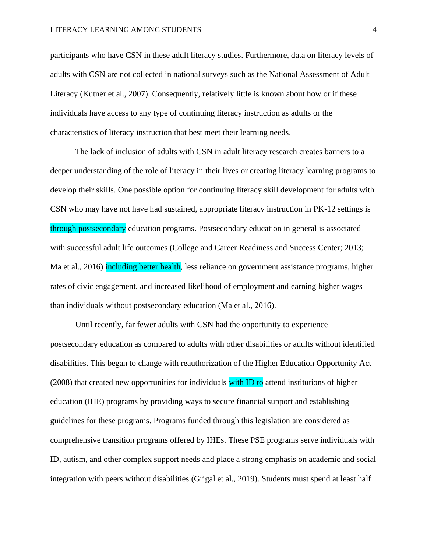participants who have CSN in these adult literacy studies. Furthermore, data on literacy levels of adults with CSN are not collected in national surveys such as the National Assessment of Adult Literacy (Kutner et al., 2007). Consequently, relatively little is known about how or if these individuals have access to any type of continuing literacy instruction as adults or the characteristics of literacy instruction that best meet their learning needs.

The lack of inclusion of adults with CSN in adult literacy research creates barriers to a deeper understanding of the role of literacy in their lives or creating literacy learning programs to develop their skills. One possible option for continuing literacy skill development for adults with CSN who may have not have had sustained, appropriate literacy instruction in PK-12 settings is through postsecondary education programs. Postsecondary education in general is associated with successful adult life outcomes (College and Career Readiness and Success Center; 2013; Ma et al., 2016) including better health, less reliance on government assistance programs, higher rates of civic engagement, and increased likelihood of employment and earning higher wages than individuals without postsecondary education (Ma et al., 2016).

Until recently, far fewer adults with CSN had the opportunity to experience postsecondary education as compared to adults with other disabilities or adults without identified disabilities. This began to change with reauthorization of the Higher Education Opportunity Act (2008) that created new opportunities for individuals with ID to attend institutions of higher education (IHE) programs by providing ways to secure financial support and establishing guidelines for these programs. Programs funded through this legislation are considered as comprehensive transition programs offered by IHEs. These PSE programs serve individuals with ID, autism, and other complex support needs and place a strong emphasis on academic and social integration with peers without disabilities (Grigal et al., 2019). Students must spend at least half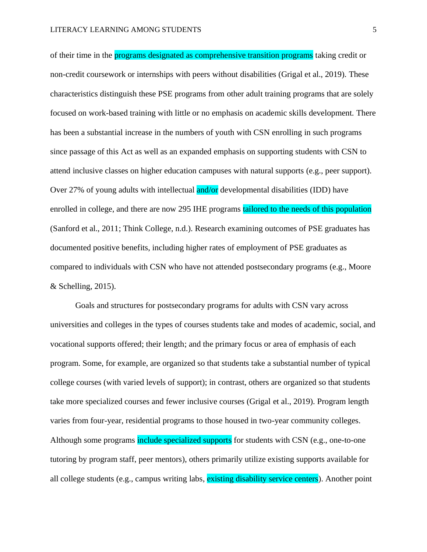of their time in the **programs designated as comprehensive transition programs** taking credit or non-credit coursework or internships with peers without disabilities (Grigal et al., 2019). These characteristics distinguish these PSE programs from other adult training programs that are solely focused on work-based training with little or no emphasis on academic skills development. There has been a substantial increase in the numbers of youth with CSN enrolling in such programs since passage of this Act as well as an expanded emphasis on supporting students with CSN to attend inclusive classes on higher education campuses with natural supports (e.g., peer support). Over 27% of young adults with intellectual and/or developmental disabilities (IDD) have enrolled in college, and there are now 295 IHE programs tailored to the needs of this population (Sanford et al., 2011; Think College, n.d.). Research examining outcomes of PSE graduates has documented positive benefits, including higher rates of employment of PSE graduates as compared to individuals with CSN who have not attended postsecondary programs (e.g., Moore  $&$  Schelling, 2015).

Goals and structures for postsecondary programs for adults with CSN vary across universities and colleges in the types of courses students take and modes of academic, social, and vocational supports offered; their length; and the primary focus or area of emphasis of each program. Some, for example, are organized so that students take a substantial number of typical college courses (with varied levels of support); in contrast, others are organized so that students take more specialized courses and fewer inclusive courses (Grigal et al., 2019). Program length varies from four-year, residential programs to those housed in two-year community colleges. Although some programs include specialized supports for students with CSN (e.g., one-to-one tutoring by program staff, peer mentors), others primarily utilize existing supports available for all college students (e.g., campus writing labs, existing disability service centers). Another point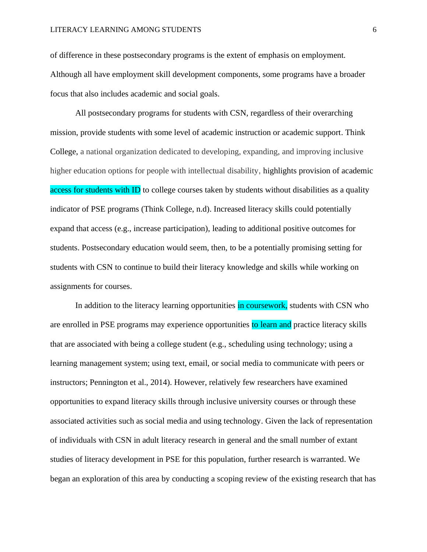of difference in these postsecondary programs is the extent of emphasis on employment. Although all have employment skill development components, some programs have a broader focus that also includes academic and social goals.

All postsecondary programs for students with CSN, regardless of their overarching mission, provide students with some level of academic instruction or academic support. Think College, a national organization dedicated to developing, expanding, and improving inclusive higher education options for people with intellectual disability, highlights provision of academic access for students with ID to college courses taken by students without disabilities as a quality indicator of PSE programs (Think College, n.d). Increased literacy skills could potentially expand that access (e.g., increase participation), leading to additional positive outcomes for students. Postsecondary education would seem, then, to be a potentially promising setting for students with CSN to continue to build their literacy knowledge and skills while working on assignments for courses.

In addition to the literacy learning opportunities in coursework, students with CSN who are enrolled in PSE programs may experience opportunities to learn and practice literacy skills that are associated with being a college student (e.g., scheduling using technology; using a learning management system; using text, email, or social media to communicate with peers or instructors; Pennington et al., 2014). However, relatively few researchers have examined opportunities to expand literacy skills through inclusive university courses or through these associated activities such as social media and using technology. Given the lack of representation of individuals with CSN in adult literacy research in general and the small number of extant studies of literacy development in PSE for this population, further research is warranted. We began an exploration of this area by conducting a scoping review of the existing research that has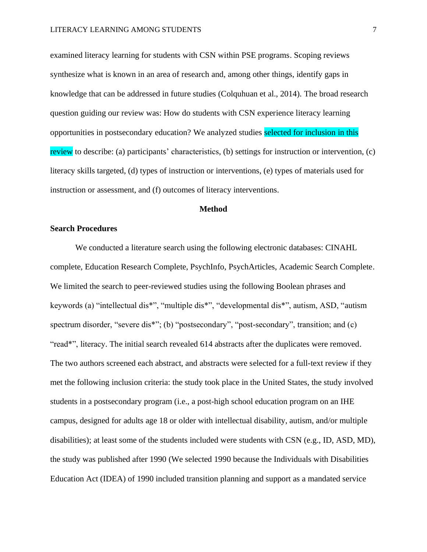examined literacy learning for students with CSN within PSE programs. Scoping reviews synthesize what is known in an area of research and, among other things, identify gaps in knowledge that can be addressed in future studies (Colquhuan et al., 2014). The broad research question guiding our review was: How do students with CSN experience literacy learning opportunities in postsecondary education? We analyzed studies selected for inclusion in this review to describe: (a) participants' characteristics, (b) settings for instruction or intervention, (c) literacy skills targeted, (d) types of instruction or interventions, (e) types of materials used for instruction or assessment, and (f) outcomes of literacy interventions.

#### **Method**

#### **Search Procedures**

We conducted a literature search using the following electronic databases: CINAHL complete, Education Research Complete, PsychInfo, PsychArticles, Academic Search Complete. We limited the search to peer-reviewed studies using the following Boolean phrases and keywords (a) "intellectual dis\*", "multiple dis\*", "developmental dis\*", autism, ASD, "autism spectrum disorder, "severe dis<sup>\*</sup>"; (b) "postsecondary", "post-secondary", transition; and (c) "read\*", literacy. The initial search revealed 614 abstracts after the duplicates were removed. The two authors screened each abstract, and abstracts were selected for a full-text review if they met the following inclusion criteria: the study took place in the United States, the study involved students in a postsecondary program (i.e., a post-high school education program on an IHE campus, designed for adults age 18 or older with intellectual disability, autism, and/or multiple disabilities); at least some of the students included were students with CSN (e.g., ID, ASD, MD), the study was published after 1990 (We selected 1990 because the Individuals with Disabilities Education Act (IDEA) of 1990 included transition planning and support as a mandated service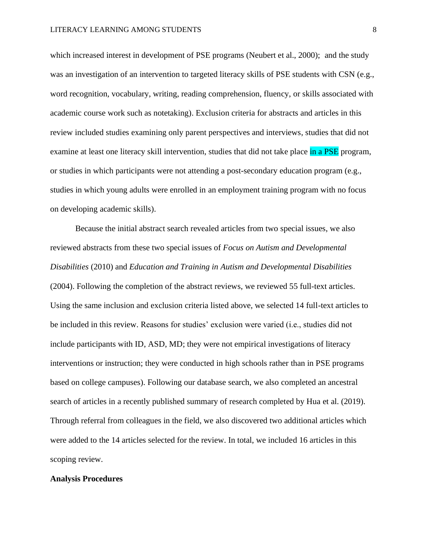which increased interest in development of PSE programs (Neubert et al., 2000); and the study was an investigation of an intervention to targeted literacy skills of PSE students with CSN (e.g., word recognition, vocabulary, writing, reading comprehension, fluency, or skills associated with academic course work such as notetaking). Exclusion criteria for abstracts and articles in this review included studies examining only parent perspectives and interviews, studies that did not examine at least one literacy skill intervention, studies that did not take place in a PSE program, or studies in which participants were not attending a post-secondary education program (e.g., studies in which young adults were enrolled in an employment training program with no focus on developing academic skills).

Because the initial abstract search revealed articles from two special issues, we also reviewed abstracts from these two special issues of *Focus on Autism and Developmental Disabilities* (2010) and *Education and Training in Autism and Developmental Disabilities*  (2004). Following the completion of the abstract reviews, we reviewed 55 full-text articles. Using the same inclusion and exclusion criteria listed above, we selected 14 full-text articles to be included in this review. Reasons for studies' exclusion were varied (i.e., studies did not include participants with ID, ASD, MD; they were not empirical investigations of literacy interventions or instruction; they were conducted in high schools rather than in PSE programs based on college campuses). Following our database search, we also completed an ancestral search of articles in a recently published summary of research completed by Hua et al. (2019). Through referral from colleagues in the field, we also discovered two additional articles which were added to the 14 articles selected for the review. In total, we included 16 articles in this scoping review.

#### **Analysis Procedures**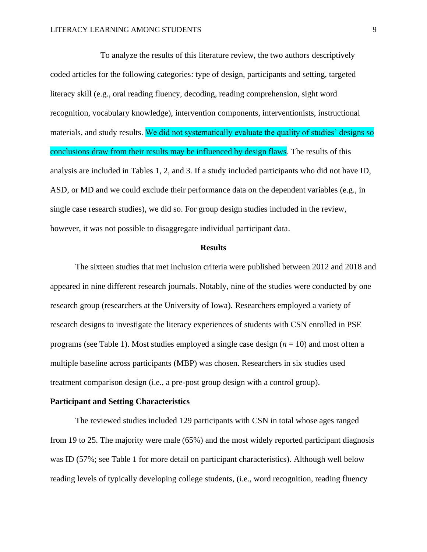To analyze the results of this literature review, the two authors descriptively coded articles for the following categories: type of design, participants and setting, targeted literacy skill (e.g., oral reading fluency, decoding, reading comprehension, sight word recognition, vocabulary knowledge), intervention components, interventionists, instructional materials, and study results. We did not systematically evaluate the quality of studies' designs so conclusions draw from their results may be influenced by design flaws. The results of this analysis are included in Tables 1, 2, and 3. If a study included participants who did not have ID, ASD, or MD and we could exclude their performance data on the dependent variables (e.g., in single case research studies), we did so. For group design studies included in the review, however, it was not possible to disaggregate individual participant data.

#### **Results**

The sixteen studies that met inclusion criteria were published between 2012 and 2018 and appeared in nine different research journals. Notably, nine of the studies were conducted by one research group (researchers at the University of Iowa). Researchers employed a variety of research designs to investigate the literacy experiences of students with CSN enrolled in PSE programs (see Table 1). Most studies employed a single case design (*n* = 10) and most often a multiple baseline across participants (MBP) was chosen. Researchers in six studies used treatment comparison design (i.e., a pre-post group design with a control group).

#### **Participant and Setting Characteristics**

The reviewed studies included 129 participants with CSN in total whose ages ranged from 19 to 25. The majority were male (65%) and the most widely reported participant diagnosis was ID (57%; see Table 1 for more detail on participant characteristics). Although well below reading levels of typically developing college students, (i.e., word recognition, reading fluency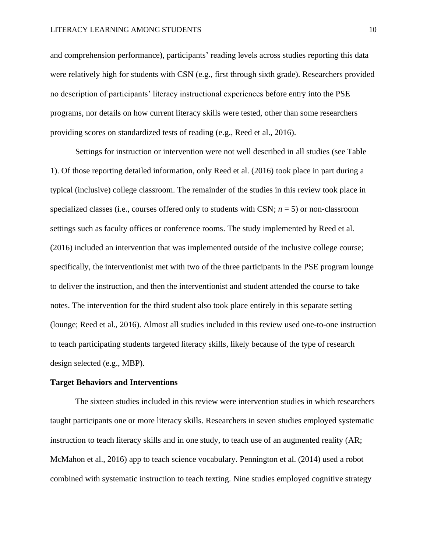and comprehension performance), participants' reading levels across studies reporting this data were relatively high for students with CSN (e.g., first through sixth grade). Researchers provided no description of participants' literacy instructional experiences before entry into the PSE programs, nor details on how current literacy skills were tested, other than some researchers providing scores on standardized tests of reading (e.g., Reed et al., 2016).

Settings for instruction or intervention were not well described in all studies (see Table 1). Of those reporting detailed information, only Reed et al. (2016) took place in part during a typical (inclusive) college classroom. The remainder of the studies in this review took place in specialized classes (i.e., courses offered only to students with CSN;  $n = 5$ ) or non-classroom settings such as faculty offices or conference rooms. The study implemented by Reed et al. (2016) included an intervention that was implemented outside of the inclusive college course; specifically, the interventionist met with two of the three participants in the PSE program lounge to deliver the instruction, and then the interventionist and student attended the course to take notes. The intervention for the third student also took place entirely in this separate setting (lounge; Reed et al., 2016). Almost all studies included in this review used one-to-one instruction to teach participating students targeted literacy skills, likely because of the type of research design selected (e.g., MBP).

#### **Target Behaviors and Interventions**

The sixteen studies included in this review were intervention studies in which researchers taught participants one or more literacy skills. Researchers in seven studies employed systematic instruction to teach literacy skills and in one study, to teach use of an augmented reality (AR; McMahon et al., 2016) app to teach science vocabulary. Pennington et al. (2014) used a robot combined with systematic instruction to teach texting. Nine studies employed cognitive strategy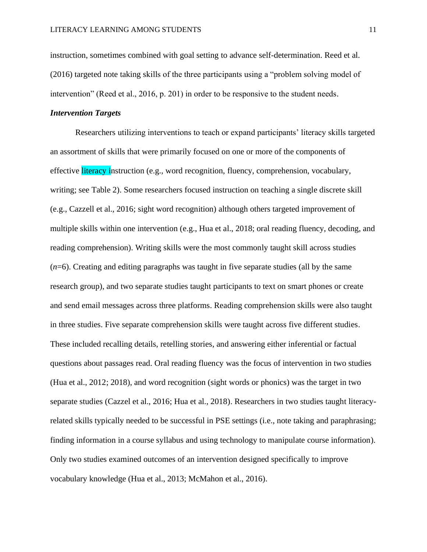instruction, sometimes combined with goal setting to advance self-determination. Reed et al. (2016) targeted note taking skills of the three participants using a "problem solving model of intervention" (Reed et al., 2016, p. 201) in order to be responsive to the student needs.

#### *Intervention Targets*

Researchers utilizing interventions to teach or expand participants' literacy skills targeted an assortment of skills that were primarily focused on one or more of the components of effective literacy instruction (e.g., word recognition, fluency, comprehension, vocabulary, writing; see Table 2). Some researchers focused instruction on teaching a single discrete skill (e.g., Cazzell et al., 2016; sight word recognition) although others targeted improvement of multiple skills within one intervention (e.g., Hua et al., 2018; oral reading fluency, decoding, and reading comprehension). Writing skills were the most commonly taught skill across studies (*n*=6). Creating and editing paragraphs was taught in five separate studies (all by the same research group), and two separate studies taught participants to text on smart phones or create and send email messages across three platforms. Reading comprehension skills were also taught in three studies. Five separate comprehension skills were taught across five different studies. These included recalling details, retelling stories, and answering either inferential or factual questions about passages read. Oral reading fluency was the focus of intervention in two studies (Hua et al., 2012; 2018), and word recognition (sight words or phonics) was the target in two separate studies (Cazzel et al., 2016; Hua et al., 2018). Researchers in two studies taught literacyrelated skills typically needed to be successful in PSE settings (i.e., note taking and paraphrasing; finding information in a course syllabus and using technology to manipulate course information). Only two studies examined outcomes of an intervention designed specifically to improve vocabulary knowledge (Hua et al., 2013; McMahon et al., 2016).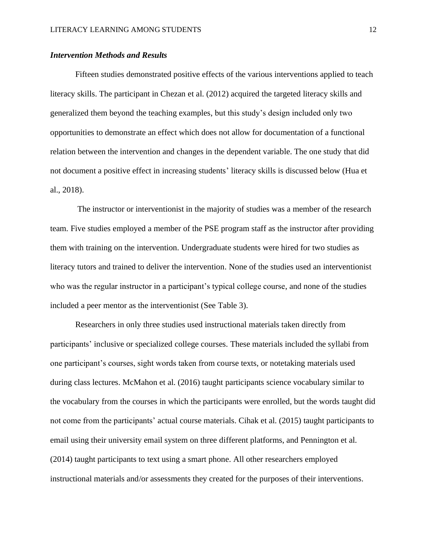#### *Intervention Methods and Results*

Fifteen studies demonstrated positive effects of the various interventions applied to teach literacy skills. The participant in Chezan et al. (2012) acquired the targeted literacy skills and generalized them beyond the teaching examples, but this study's design included only two opportunities to demonstrate an effect which does not allow for documentation of a functional relation between the intervention and changes in the dependent variable. The one study that did not document a positive effect in increasing students' literacy skills is discussed below (Hua et al., 2018).

The instructor or interventionist in the majority of studies was a member of the research team. Five studies employed a member of the PSE program staff as the instructor after providing them with training on the intervention. Undergraduate students were hired for two studies as literacy tutors and trained to deliver the intervention. None of the studies used an interventionist who was the regular instructor in a participant's typical college course, and none of the studies included a peer mentor as the interventionist (See Table 3).

Researchers in only three studies used instructional materials taken directly from participants' inclusive or specialized college courses. These materials included the syllabi from one participant's courses, sight words taken from course texts, or notetaking materials used during class lectures. McMahon et al. (2016) taught participants science vocabulary similar to the vocabulary from the courses in which the participants were enrolled, but the words taught did not come from the participants' actual course materials. Cihak et al. (2015) taught participants to email using their university email system on three different platforms, and Pennington et al. (2014) taught participants to text using a smart phone. All other researchers employed instructional materials and/or assessments they created for the purposes of their interventions.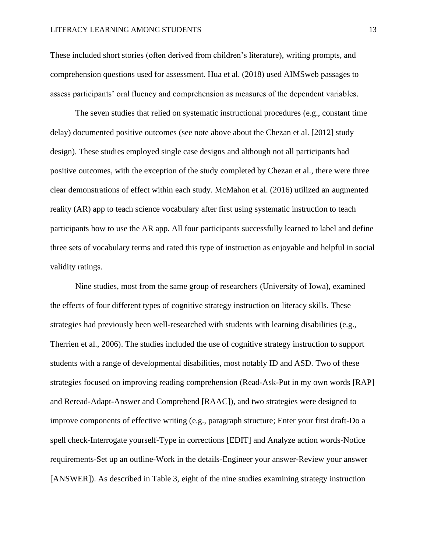These included short stories (often derived from children's literature), writing prompts, and comprehension questions used for assessment. Hua et al. (2018) used AIMSweb passages to assess participants' oral fluency and comprehension as measures of the dependent variables.

The seven studies that relied on systematic instructional procedures (e.g., constant time delay) documented positive outcomes (see note above about the Chezan et al. [2012] study design). These studies employed single case designs and although not all participants had positive outcomes, with the exception of the study completed by Chezan et al., there were three clear demonstrations of effect within each study. McMahon et al. (2016) utilized an augmented reality (AR) app to teach science vocabulary after first using systematic instruction to teach participants how to use the AR app. All four participants successfully learned to label and define three sets of vocabulary terms and rated this type of instruction as enjoyable and helpful in social validity ratings.

Nine studies, most from the same group of researchers (University of Iowa), examined the effects of four different types of cognitive strategy instruction on literacy skills. These strategies had previously been well-researched with students with learning disabilities (e.g., Therrien et al., 2006). The studies included the use of cognitive strategy instruction to support students with a range of developmental disabilities, most notably ID and ASD. Two of these strategies focused on improving reading comprehension (Read-Ask-Put in my own words [RAP] and Reread-Adapt-Answer and Comprehend [RAAC]), and two strategies were designed to improve components of effective writing (e.g., paragraph structure; Enter your first draft-Do a spell check-Interrogate yourself-Type in corrections [EDIT] and Analyze action words-Notice requirements-Set up an outline-Work in the details-Engineer your answer-Review your answer [ANSWER]). As described in Table 3, eight of the nine studies examining strategy instruction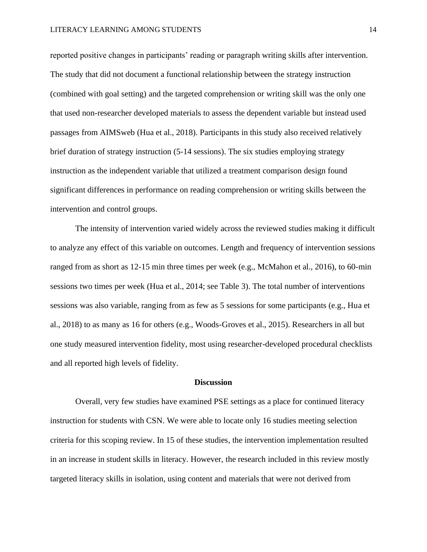reported positive changes in participants' reading or paragraph writing skills after intervention. The study that did not document a functional relationship between the strategy instruction (combined with goal setting) and the targeted comprehension or writing skill was the only one that used non-researcher developed materials to assess the dependent variable but instead used passages from AIMSweb (Hua et al., 2018). Participants in this study also received relatively brief duration of strategy instruction (5-14 sessions). The six studies employing strategy instruction as the independent variable that utilized a treatment comparison design found significant differences in performance on reading comprehension or writing skills between the intervention and control groups.

The intensity of intervention varied widely across the reviewed studies making it difficult to analyze any effect of this variable on outcomes. Length and frequency of intervention sessions ranged from as short as 12-15 min three times per week (e.g., McMahon et al., 2016), to 60-min sessions two times per week (Hua et al., 2014; see Table 3). The total number of interventions sessions was also variable, ranging from as few as 5 sessions for some participants (e.g., Hua et al., 2018) to as many as 16 for others (e.g., Woods-Groves et al., 2015). Researchers in all but one study measured intervention fidelity, most using researcher-developed procedural checklists and all reported high levels of fidelity.

#### **Discussion**

Overall, very few studies have examined PSE settings as a place for continued literacy instruction for students with CSN. We were able to locate only 16 studies meeting selection criteria for this scoping review. In 15 of these studies, the intervention implementation resulted in an increase in student skills in literacy. However, the research included in this review mostly targeted literacy skills in isolation, using content and materials that were not derived from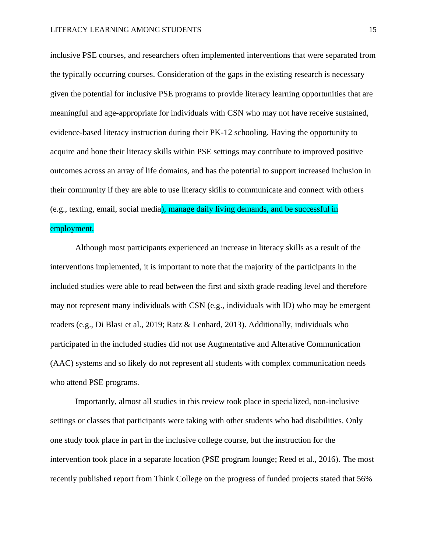inclusive PSE courses, and researchers often implemented interventions that were separated from the typically occurring courses. Consideration of the gaps in the existing research is necessary given the potential for inclusive PSE programs to provide literacy learning opportunities that are meaningful and age-appropriate for individuals with CSN who may not have receive sustained, evidence-based literacy instruction during their PK-12 schooling. Having the opportunity to acquire and hone their literacy skills within PSE settings may contribute to improved positive outcomes across an array of life domains, and has the potential to support increased inclusion in their community if they are able to use literacy skills to communicate and connect with others (e.g., texting, email, social media), manage daily living demands, and be successful in

#### employment.

Although most participants experienced an increase in literacy skills as a result of the interventions implemented, it is important to note that the majority of the participants in the included studies were able to read between the first and sixth grade reading level and therefore may not represent many individuals with CSN (e.g., individuals with ID) who may be emergent readers (e.g., Di Blasi et al., 2019; Ratz & Lenhard, 2013). Additionally, individuals who participated in the included studies did not use Augmentative and Alterative Communication (AAC) systems and so likely do not represent all students with complex communication needs who attend PSE programs.

Importantly, almost all studies in this review took place in specialized, non-inclusive settings or classes that participants were taking with other students who had disabilities. Only one study took place in part in the inclusive college course, but the instruction for the intervention took place in a separate location (PSE program lounge; Reed et al., 2016). The most recently published report from Think College on the progress of funded projects stated that 56%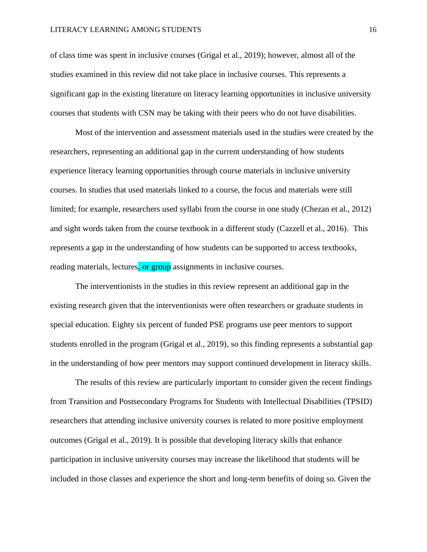of class time was spent in inclusive courses (Grigal et al., 2019); however, almost all of the studies examined in this review did not take place in inclusive courses. This represents a significant gap in the existing literature on literacy learning opportunities in inclusive university courses that students with CSN may be taking with their peers who do not have disabilities.

Most of the intervention and assessment materials used in the studies were created by the researchers, representing an additional gap in the current understanding of how students experience literacy learning opportunities through course materials in inclusive university courses. In studies that used materials linked to a course, the focus and materials were still limited; for example, researchers used syllabi from the course in one study (Chezan et al., 2012) and sight words taken from the course textbook in a different study (Cazzell et al., 2016). This represents a gap in the understanding of how students can be supported to access textbooks, reading materials, lectures, or group assignments in inclusive courses.

The interventionists in the studies in this review represent an additional gap in the existing research given that the interventionists were often researchers or graduate students in special education. Eighty six percent of funded PSE programs use peer mentors to support students enrolled in the program (Grigal et al., 2019), so this finding represents a substantial gap in the understanding of how peer mentors may support continued development in literacy skills.

The results of this review are particularly important to consider given the recent findings from Transition and Postsecondary Programs for Students with Intellectual Disabilities (TPSID) researchers that attending inclusive university courses is related to more positive employment outcomes (Grigal et al., 2019). It is possible that developing literacy skills that enhance participation in inclusive university courses may increase the likelihood that students will be included in those classes and experience the short and long-term benefits of doing so. Given the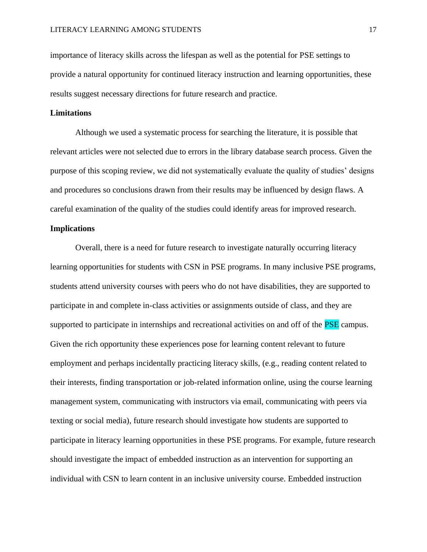importance of literacy skills across the lifespan as well as the potential for PSE settings to provide a natural opportunity for continued literacy instruction and learning opportunities, these results suggest necessary directions for future research and practice.

#### **Limitations**

Although we used a systematic process for searching the literature, it is possible that relevant articles were not selected due to errors in the library database search process. Given the purpose of this scoping review, we did not systematically evaluate the quality of studies' designs and procedures so conclusions drawn from their results may be influenced by design flaws. A careful examination of the quality of the studies could identify areas for improved research.

#### **Implications**

Overall, there is a need for future research to investigate naturally occurring literacy learning opportunities for students with CSN in PSE programs. In many inclusive PSE programs, students attend university courses with peers who do not have disabilities, they are supported to participate in and complete in-class activities or assignments outside of class, and they are supported to participate in internships and recreational activities on and off of the **PSE** campus. Given the rich opportunity these experiences pose for learning content relevant to future employment and perhaps incidentally practicing literacy skills, (e.g., reading content related to their interests, finding transportation or job-related information online, using the course learning management system, communicating with instructors via email, communicating with peers via texting or social media), future research should investigate how students are supported to participate in literacy learning opportunities in these PSE programs. For example, future research should investigate the impact of embedded instruction as an intervention for supporting an individual with CSN to learn content in an inclusive university course. Embedded instruction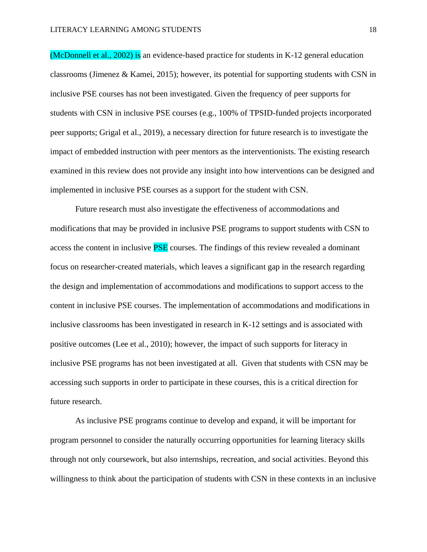(McDonnell et al., 2002) is an evidence-based practice for students in K-12 general education classrooms (Jimenez & Kamei, 2015); however, its potential for supporting students with CSN in inclusive PSE courses has not been investigated. Given the frequency of peer supports for students with CSN in inclusive PSE courses (e.g., 100% of TPSID-funded projects incorporated peer supports; Grigal et al., 2019), a necessary direction for future research is to investigate the impact of embedded instruction with peer mentors as the interventionists. The existing research examined in this review does not provide any insight into how interventions can be designed and implemented in inclusive PSE courses as a support for the student with CSN.

Future research must also investigate the effectiveness of accommodations and modifications that may be provided in inclusive PSE programs to support students with CSN to access the content in inclusive **PSE** courses. The findings of this review revealed a dominant focus on researcher-created materials, which leaves a significant gap in the research regarding the design and implementation of accommodations and modifications to support access to the content in inclusive PSE courses. The implementation of accommodations and modifications in inclusive classrooms has been investigated in research in K-12 settings and is associated with positive outcomes (Lee et al., 2010); however, the impact of such supports for literacy in inclusive PSE programs has not been investigated at all. Given that students with CSN may be accessing such supports in order to participate in these courses, this is a critical direction for future research.

As inclusive PSE programs continue to develop and expand, it will be important for program personnel to consider the naturally occurring opportunities for learning literacy skills through not only coursework, but also internships, recreation, and social activities. Beyond this willingness to think about the participation of students with CSN in these contexts in an inclusive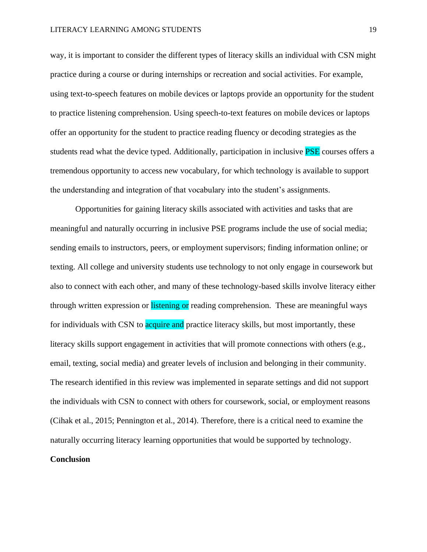way, it is important to consider the different types of literacy skills an individual with CSN might practice during a course or during internships or recreation and social activities. For example, using text-to-speech features on mobile devices or laptops provide an opportunity for the student to practice listening comprehension. Using speech-to-text features on mobile devices or laptops offer an opportunity for the student to practice reading fluency or decoding strategies as the students read what the device typed. Additionally, participation in inclusive **PSE** courses offers a tremendous opportunity to access new vocabulary, for which technology is available to support the understanding and integration of that vocabulary into the student's assignments.

Opportunities for gaining literacy skills associated with activities and tasks that are meaningful and naturally occurring in inclusive PSE programs include the use of social media; sending emails to instructors, peers, or employment supervisors; finding information online; or texting. All college and university students use technology to not only engage in coursework but also to connect with each other, and many of these technology-based skills involve literacy either through written expression or listening or reading comprehension. These are meaningful ways for individuals with CSN to **acquire and** practice literacy skills, but most importantly, these literacy skills support engagement in activities that will promote connections with others (e.g., email, texting, social media) and greater levels of inclusion and belonging in their community. The research identified in this review was implemented in separate settings and did not support the individuals with CSN to connect with others for coursework, social, or employment reasons (Cihak et al., 2015; Pennington et al., 2014). Therefore, there is a critical need to examine the naturally occurring literacy learning opportunities that would be supported by technology.

### **Conclusion**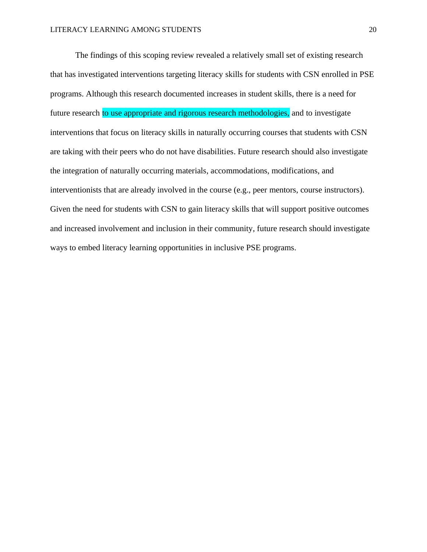The findings of this scoping review revealed a relatively small set of existing research that has investigated interventions targeting literacy skills for students with CSN enrolled in PSE programs. Although this research documented increases in student skills, there is a need for future research to use appropriate and rigorous research methodologies, and to investigate interventions that focus on literacy skills in naturally occurring courses that students with CSN are taking with their peers who do not have disabilities. Future research should also investigate the integration of naturally occurring materials, accommodations, modifications, and interventionists that are already involved in the course (e.g., peer mentors, course instructors). Given the need for students with CSN to gain literacy skills that will support positive outcomes and increased involvement and inclusion in their community, future research should investigate ways to embed literacy learning opportunities in inclusive PSE programs.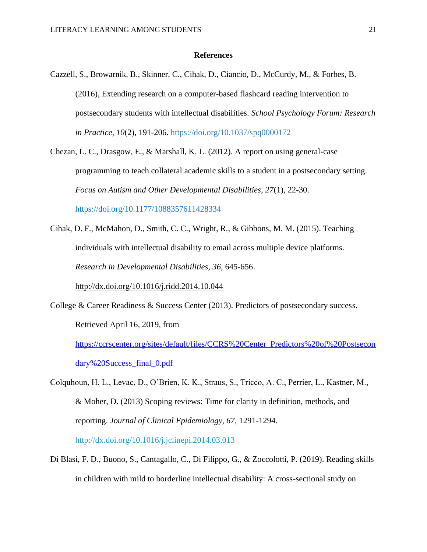#### **References**

Cazzell, S., Browarnik, B., Skinner, C., Cihak, D., Ciancio, D., McCurdy, M., & Forbes, B. (2016), Extending research on a computer-based flashcard reading intervention to postsecondary students with intellectual disabilities. *School Psychology Forum: Research in Practice, 10*(2), 191-206. [https://doi.org/10.1037/spq0000172](https://psycnet.apa.org/doi/10.1037/spq0000172)

Chezan, L. C., Drasgow, E., & Marshall, K. L. (2012). A report on using general-case programming to teach collateral academic skills to a student in a postsecondary setting. *Focus on Autism and Other Developmental Disabilities, 27*(1), 22-30. [https://doi.org/10.1177/1088357611428334](https://doi.org/10.1177%2F1088357611428334)

Cihak, D. F., McMahon, D., Smith, C. C., Wright, R., & Gibbons, M. M. (2015). Teaching individuals with intellectual disability to email across multiple device platforms. *Research in Developmental Disabilities, 36*, 645-656.

<http://dx.doi.org/10.1016/j.ridd.2014.10.044>

College & Career Readiness & Success Center (2013). Predictors of postsecondary success. Retrieved April 16, 2019, from

[https://ccrscenter.org/sites/default/files/CCRS%20Center\\_Predictors%20of%20Postsecon](https://ccrscenter.org/sites/default/files/CCRS%20Center_Predictors%20of%20Postsecondary%20Success_final_0.pdf) [dary%20Success\\_final\\_0.pdf](https://ccrscenter.org/sites/default/files/CCRS%20Center_Predictors%20of%20Postsecondary%20Success_final_0.pdf)

Colquhoun, H. L., Levac, D., O'Brien, K. K., Straus, S., Tricco, A. C., Perrier, L., Kastner, M., & Moher, D. (2013) Scoping reviews: Time for clarity in definition, methods, and reporting. *Journal of Clinical Epidemiology, 67,* 1291-1294.

http://dx.doi.org/10.1016/j.jclinepi.2014.03.013

Di Blasi, F. D., Buono, S., Cantagallo, C., Di Filippo, G., & Zoccolotti, P. (2019). Reading skills in children with mild to borderline intellectual disability: A cross-sectional study on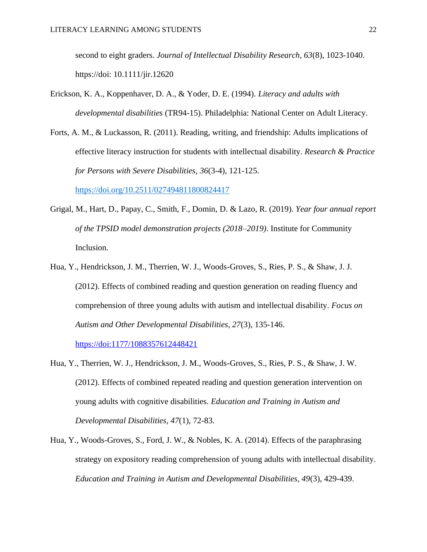second to eight graders. *Journal of Intellectual Disability Research, 63*(8), 1023-1040. https://doi: 10.1111/jir.12620

- Erickson, K. A., Koppenhaver, D. A., & Yoder, D. E. (1994). *Literacy and adults with developmental disabilities* (TR94-15). Philadelphia: National Center on Adult Literacy.
- Forts, A. M., & Luckasson, R. (2011). Reading, writing, and friendship: Adults implications of effective literacy instruction for students with intellectual disability. *Research & Practice for Persons with Severe Disabilities*, *36*(3-4), 121-125.

[https://doi.org/10.2511/027494811800824417](https://doi.org/10.2511%2F027494811800824417)

- Grigal, M., Hart, D., Papay, C., Smith, F., Domin, D. & Lazo, R. (2019). *Year four annual report of the TPSID model demonstration projects (2018–2019)*. Institute for Community Inclusion.
- Hua, Y., Hendrickson, J. M., Therrien, W. J., Woods-Groves, S., Ries, P. S., & Shaw, J. J. (2012). Effects of combined reading and question generation on reading fluency and comprehension of three young adults with autism and intellectual disability. *Focus on Autism and Other Developmental Disabilities, 27*(3), 135-146.

<https://doi:1177/1088357612448421>

- Hua, Y., Therrien, W. J., Hendrickson, J. M., Woods-Groves, S., Ries, P. S., & Shaw, J. W. (2012). Effects of combined repeated reading and question generation intervention on young adults with cognitive disabilities. *Education and Training in Autism and Developmental Disabilities, 47*(1), 72-83.
- Hua, Y., Woods-Groves, S., Ford, J. W., & Nobles, K. A. (2014). Effects of the paraphrasing strategy on expository reading comprehension of young adults with intellectual disability. *Education and Training in Autism and Developmental Disabilities, 49*(3), 429-439.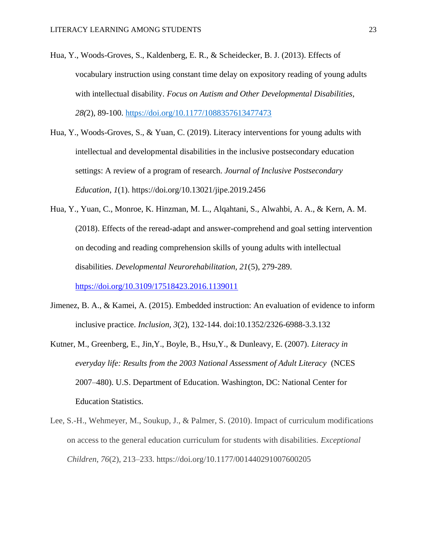- Hua, Y., Woods-Groves, S., Kaldenberg, E. R., & Scheidecker, B. J. (2013). Effects of vocabulary instruction using constant time delay on expository reading of young adults with intellectual disability. *Focus on Autism and Other Developmental Disabilities, 28(*2), 89-100. [https://doi.org/10.1177/1088357613477473](https://doi.org/10.1177%2F1088357613477473)
- Hua, Y., Woods-Groves, S., & Yuan, C. (2019). Literacy interventions for young adults with intellectual and developmental disabilities in the inclusive postsecondary education settings: A review of a program of research. *Journal of Inclusive Postsecondary Education*, *1*(1). https://doi.org/10.13021/jipe.2019.2456
- Hua, Y., Yuan, C., Monroe, K. Hinzman, M. L., Alqahtani, S., Alwahbi, A. A., & Kern, A. M. (2018). Effects of the reread-adapt and answer-comprehend and goal setting intervention on decoding and reading comprehension skills of young adults with intellectual disabilities. *Developmental Neurorehabilitation, 21*(5), 279-289.

<https://doi.org/10.3109/17518423.2016.1139011>

- Jimenez, B. A., & Kamei, A. (2015). Embedded instruction: An evaluation of evidence to inform inclusive practice. *Inclusion, 3*(2), 132-144. doi:10.1352/2326-6988-3.3.132
- Kutner, M., Greenberg, E., Jin,Y., Boyle, B., Hsu,Y., & Dunleavy, E. (2007). *Literacy in everyday life: Results from the 2003 National Assessment of Adult Literacy* (NCES 2007–480). U.S. Department of Education. Washington, DC: National Center for Education Statistics.
- Lee, S.-H., Wehmeyer, M., Soukup, J., & Palmer, S. (2010). Impact of curriculum modifications on access to the general education curriculum for students with disabilities. *Exceptional Children*, *76*(2), 213–233. https://doi.org/10.1177/001440291007600205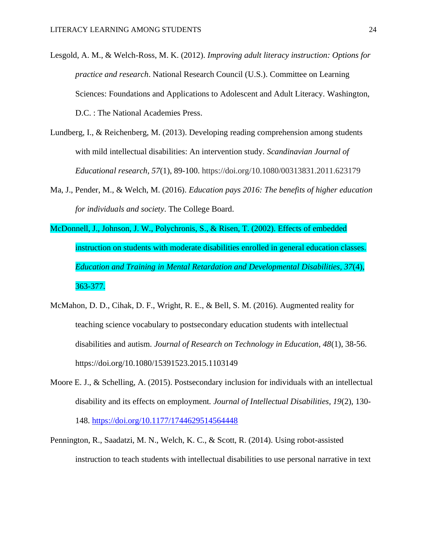Lesgold, A. M., & Welch-Ross, M. K. (2012). *Improving adult literacy instruction: Options for practice and research*. National Research Council (U.S.). Committee on Learning Sciences: Foundations and Applications to Adolescent and Adult Literacy. Washington, D.C. : The National Academies Press.

- Lundberg, I., & Reichenberg, M. (2013). Developing reading comprehension among students with mild intellectual disabilities: An intervention study. *Scandinavian Journal of Educational research, 57*(1), 89-100. https://doi.org/10.1080/00313831.2011.623179
- Ma, J., Pender, M., & Welch, M. (2016). *Education pays 2016: The benefits of higher education for individuals and society*. The College Board.
- McDonnell, J., Johnson, J. W., Polychronis, S., & Risen, T. (2002). Effects of embedded instruction on students with moderate disabilities enrolled in general education classes. *Education and Training in Mental Retardation and Developmental Disabilities, 37*(4), 363-377.
- McMahon, D. D., Cihak, D. F., Wright, R. E., & Bell, S. M. (2016). Augmented reality for teaching science vocabulary to postsecondary education students with intellectual disabilities and autism. *Journal of Research on Technology in Education, 48*(1), 38-56. https://doi.org/10.1080/15391523.2015.1103149
- Moore E. J., & Schelling, A. (2015). Postsecondary inclusion for individuals with an intellectual disability and its effects on employment*. Journal of Intellectual Disabilities, 19*(2), 130- 148.<https://doi.org/10.1177/1744629514564448>
- Pennington, R., Saadatzi, M. N., Welch, K. C., & Scott, R. (2014). Using robot-assisted instruction to teach students with intellectual disabilities to use personal narrative in text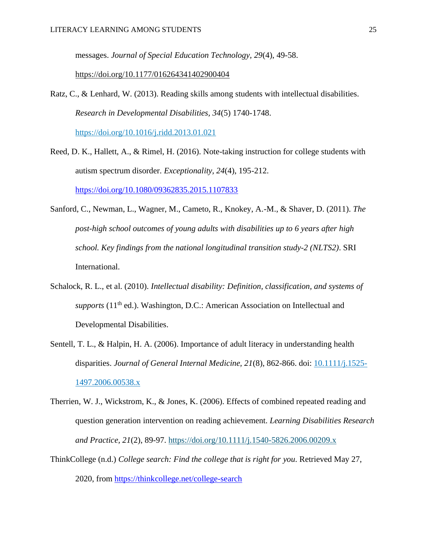messages. *Journal of Special Education Technology, 29*(4), 49-58.

[https://doi.org/10.1177/016264341402900404](https://doi.org/10.1177%2F016264341402900404)

Ratz, C., & Lenhard, W. (2013). Reading skills among students with intellectual disabilities. *Research in Developmental Disabilities, 34*(5) 1740-1748.

<https://doi.org/10.1016/j.ridd.2013.01.021>

- Reed, D. K., Hallett, A., & Rimel, H. (2016). Note-taking instruction for college students with autism spectrum disorder. *Exceptionality, 24*(4), 195-212. <https://doi.org/10.1080/09362835.2015.1107833>
- Sanford, C., Newman, L., Wagner, M., Cameto, R., Knokey, A.-M., & Shaver, D. (2011). *The post-high school outcomes of young adults with disabilities up to 6 years after high school. Key findings from the national longitudinal transition study-2 (NLTS2)*. SRI International.
- Schalock, R. L., et al. (2010). *Intellectual disability: Definition, classification, and systems of supports* (11<sup>th</sup> ed.). Washington, D.C.: American Association on Intellectual and Developmental Disabilities.
- Sentell, T. L., & Halpin, H. A. (2006). Importance of adult literacy in understanding health disparities. *Journal of General Internal Medicine, 21*(8), 862-866. doi: [10.1111/j.1525-](https://doi.org/10.1111/j.1525-1497.2006.00538.x) [1497.2006.00538.x](https://doi.org/10.1111/j.1525-1497.2006.00538.x)
- Therrien, W. J., Wickstrom, K., & Jones, K. (2006). Effects of combined repeated reading and question generation intervention on reading achievement. *Learning Disabilities Research and Practice, 21*(2), 89-97. <https://doi.org/10.1111/j.1540-5826.2006.00209.x>
- ThinkCollege (n.d.) *College search: Find the college that is right for you*. Retrieved May 27, 2020, from<https://thinkcollege.net/college-search>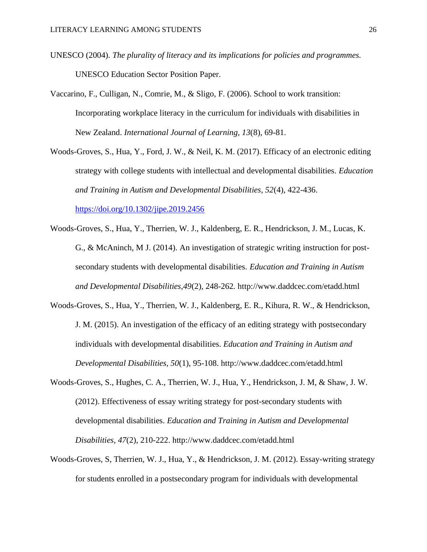- UNESCO (2004). *The plurality of literacy and its implications for policies and programmes.*  UNESCO Education Sector Position Paper.
- Vaccarino, F., Culligan, N., Comrie, M., & Sligo, F. (2006). School to work transition: Incorporating workplace literacy in the curriculum for individuals with disabilities in New Zealand. *International Journal of Learning, 13*(8), 69-81.
- Woods-Groves, S., Hua, Y., Ford, J. W., & Neil, K. M. (2017). Efficacy of an electronic editing strategy with college students with intellectual and developmental disabilities. *Education and Training in Autism and Developmental Disabilities, 52*(4), 422-436. <https://doi.org/10.1302/jipe.2019.2456>
- Woods-Groves, S., Hua, Y., Therrien, W. J., Kaldenberg, E. R., Hendrickson, J. M., Lucas, K. G., & McAninch, M J. (2014). An investigation of strategic writing instruction for postsecondary students with developmental disabilities. *Education and Training in Autism and Developmental Disabilities,49*(2), 248-262*.* http://www.daddcec.com/etadd.html
- Woods-Groves, S., Hua, Y., Therrien, W. J., Kaldenberg, E. R., Kihura, R. W., & Hendrickson, J. M. (2015). An investigation of the efficacy of an editing strategy with postsecondary individuals with developmental disabilities. *Education and Training in Autism and Developmental Disabilities, 50*(1), 95-108. http://www.daddcec.com/etadd.html
- Woods-Groves, S., Hughes, C. A., Therrien, W. J., Hua, Y., Hendrickson, J. M, & Shaw, J. W. (2012). Effectiveness of essay writing strategy for post-secondary students with developmental disabilities. *Education and Training in Autism and Developmental Disabilities, 47*(2), 210-222. http://www.daddcec.com/etadd.html
- Woods-Groves, S, Therrien, W. J., Hua, Y., & Hendrickson, J. M. (2012). Essay-writing strategy for students enrolled in a postsecondary program for individuals with developmental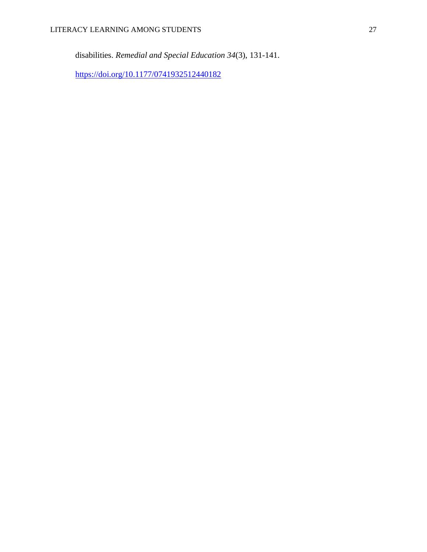disabilities. *Remedial and Special Education 34*(3), 131-141.

<https://doi.org/10.1177/0741932512440182>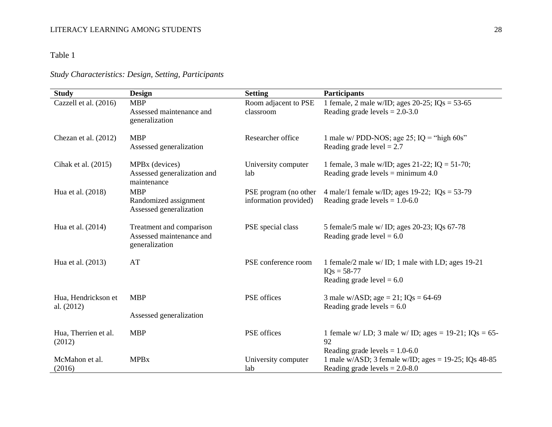# Table 1

# *Study Characteristics: Design, Setting, Participants*

| <b>Study</b>                   | <b>Design</b>                                    | <b>Setting</b>        | <b>Participants</b>                                                         |
|--------------------------------|--------------------------------------------------|-----------------------|-----------------------------------------------------------------------------|
| Cazzell et al. (2016)          | <b>MBP</b>                                       | Room adjacent to PSE  | 1 female, 2 male w/ID; ages 20-25; $IQs = 53-65$                            |
|                                | Assessed maintenance and<br>generalization       | classroom             | Reading grade levels $= 2.0 - 3.0$                                          |
| Chezan et al. (2012)           | <b>MBP</b><br>Assessed generalization            | Researcher office     | 1 male w/ PDD-NOS; age 25; $IQ = "high 60s"$<br>Reading grade level $= 2.7$ |
|                                |                                                  |                       |                                                                             |
| Cihak et al. (2015)            | MPBx (devices)                                   | University computer   | 1 female, 3 male w/ID; ages 21-22; IQ = 51-70;                              |
|                                | Assessed generalization and<br>maintenance       | lab                   | Reading grade levels = minimum $4.0$                                        |
| Hua et al. (2018)              | <b>MBP</b>                                       | PSE program (no other | 4 male/1 female w/ID; ages 19-22; $IQs = 53-79$                             |
|                                | Randomized assignment<br>Assessed generalization | information provided) | Reading grade levels = $1.0-6.0$                                            |
| Hua et al. (2014)              | Treatment and comparison                         | PSE special class     | 5 female/5 male w/ ID; ages 20-23; IQs 67-78                                |
|                                | Assessed maintenance and<br>generalization       |                       | Reading grade level $= 6.0$                                                 |
| Hua et al. (2013)              | AT                                               | PSE conference room   | 1 female/2 male w/ ID; 1 male with LD; ages 19-21<br>$IQs = 58-77$          |
|                                |                                                  |                       | Reading grade level $= 6.0$                                                 |
| Hua, Hendrickson et            | <b>MBP</b>                                       | PSE offices           | 3 male w/ASD; age = 21; $IQs = 64-69$                                       |
| al. (2012)                     |                                                  |                       | Reading grade levels $= 6.0$                                                |
|                                | Assessed generalization                          |                       |                                                                             |
| Hua, Therrien et al.<br>(2012) | <b>MBP</b>                                       | PSE offices           | 1 female w/ LD; 3 male w/ ID; ages = $19-21$ ; IQs = $65-$<br>92            |
|                                |                                                  |                       | Reading grade levels = $1.0-6.0$                                            |
| McMahon et al.                 | <b>MPB</b> x                                     | University computer   | 1 male w/ASD; 3 female w/ID; ages = $19-25$ ; IQs 48-85                     |
| (2016)                         |                                                  | lab                   | Reading grade levels $= 2.0 - 8.0$                                          |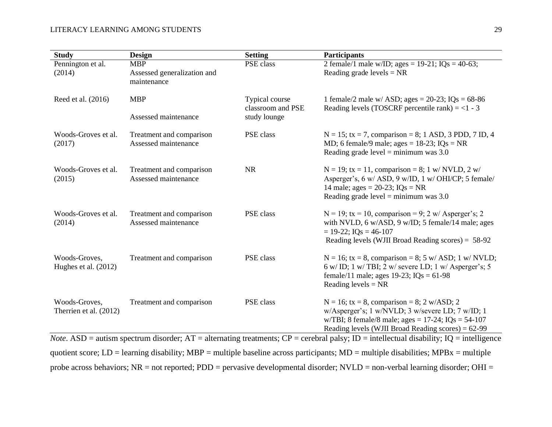| <b>Study</b>                            | <b>Design</b>                                    | <b>Setting</b>                      | <b>Participants</b>                                                                                                                                                                                                                                                                                                                                                                              |
|-----------------------------------------|--------------------------------------------------|-------------------------------------|--------------------------------------------------------------------------------------------------------------------------------------------------------------------------------------------------------------------------------------------------------------------------------------------------------------------------------------------------------------------------------------------------|
| Pennington et al.                       | <b>MBP</b>                                       | PSE class                           | 2 female/1 male w/ID; ages = $19-21$ ; IQs = $40-63$ ;                                                                                                                                                                                                                                                                                                                                           |
| (2014)                                  | Assessed generalization and<br>maintenance       |                                     | Reading grade levels $= NR$                                                                                                                                                                                                                                                                                                                                                                      |
| Reed et al. (2016)                      | <b>MBP</b>                                       | Typical course<br>classroom and PSE | 1 female/2 male w/ ASD; ages = $20-23$ ; IQs = $68-86$<br>Reading levels (TOSCRF percentile rank) = $<$ 1 - 3                                                                                                                                                                                                                                                                                    |
|                                         | Assessed maintenance                             | study lounge                        |                                                                                                                                                                                                                                                                                                                                                                                                  |
| Woods-Groves et al.<br>(2017)           | Treatment and comparison<br>Assessed maintenance | PSE class                           | $N = 15$ ; tx = 7, comparison = 8; 1 ASD, 3 PDD, 7 ID, 4<br>MD; 6 female/9 male; ages = $18-23$ ; IQs = NR<br>Reading grade level = minimum was $3.0$                                                                                                                                                                                                                                            |
| Woods-Groves et al.<br>(2015)           | Treatment and comparison<br>Assessed maintenance | <b>NR</b>                           | $N = 19$ ; tx = 11, comparison = 8; 1 w/ NVLD, 2 w/<br>Asperger's, 6 w/ ASD, 9 w/ID, 1 w/ OHI/CP; 5 female/<br>14 male; ages = 20-23; $IQs = NR$<br>Reading grade level = minimum was $3.0$                                                                                                                                                                                                      |
| Woods-Groves et al.<br>(2014)           | Treatment and comparison<br>Assessed maintenance | PSE class                           | $N = 19$ ; tx = 10, comparison = 9; 2 w/ Asperger's; 2<br>with NVLD, 6 w/ASD, 9 w/ID; 5 female/14 male; ages<br>$= 19-22$ ; IQs = 46-107<br>Reading levels (WJII Broad Reading scores) = 58-92                                                                                                                                                                                                   |
| Woods-Groves,<br>Hughes et al. $(2012)$ | Treatment and comparison                         | PSE class                           | $N = 16$ ; tx = 8, comparison = 8; 5 w/ ASD; 1 w/ NVLD;<br>$6 \text{ w}$ ID; 1 w/ TBI; 2 w/ severe LD; 1 w/ Asperger's; 5<br>female/11 male; ages 19-23; $IQs = 61-98$<br>Reading levels = $NR$                                                                                                                                                                                                  |
| Woods-Groves,<br>Therrien et al. (2012) | Treatment and comparison                         | PSE class                           | $N = 16$ ; tx = 8, comparison = 8; 2 w/ASD; 2<br>w/Asperger's; 1 w/NVLD; 3 w/severe LD; 7 w/ID; 1<br>w/TBI; 8 female/8 male; ages = $17-24$ ; IQs = $54-107$<br>Reading levels (WJII Broad Reading scores) = 62-99<br>$N_{\text{obs}}$ , $\Delta SD$ = qutigm apostrum disorder: $\Delta T$ = alternating tractments: $CD$ = corobral polar: $ID$ = intellectual disobility: $IO$ = intelligance |

*Note*. ASD = autism spectrum disorder;  $AT =$  alternating treatments;  $CP =$  cerebral palsy;  $ID =$  intellectual disability;  $IQ =$  intelligence quotient score;  $LD =$  learning disability; MBP = multiple baseline across participants; MD = multiple disabilities; MPBx = multiple probe across behaviors; NR = not reported; PDD = pervasive developmental disorder; NVLD = non-verbal learning disorder; OHI =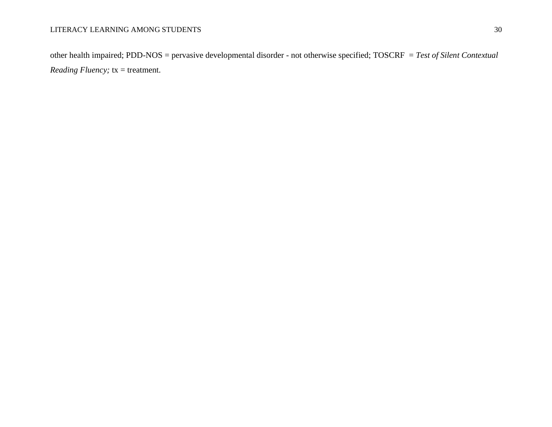other health impaired; PDD-NOS = pervasive developmental disorder - not otherwise specified; TOSCRF = *Test of Silent Contextual Reading Fluency;*  $tx = treatment$ .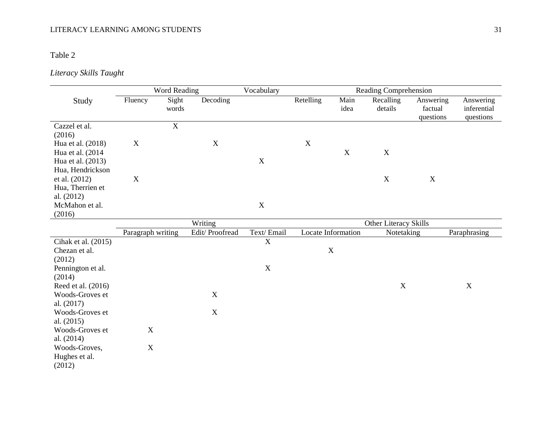# Table 2

# *Literacy Skills Taught*

|                     |                   | Word Reading   |                | Vocabulary  |             |                    | Reading Comprehension |                                   |                                       |
|---------------------|-------------------|----------------|----------------|-------------|-------------|--------------------|-----------------------|-----------------------------------|---------------------------------------|
| Study               | Fluency           | Sight<br>words | Decoding       |             | Retelling   | Main<br>idea       | Recalling<br>details  | Answering<br>factual<br>questions | Answering<br>inferential<br>questions |
| Cazzel et al.       |                   | $\overline{X}$ |                |             |             |                    |                       |                                   |                                       |
| (2016)              |                   |                |                |             |             |                    |                       |                                   |                                       |
| Hua et al. (2018)   | $\mathbf X$       |                | X              |             | $\mathbf X$ |                    |                       |                                   |                                       |
| Hua et al. (2014    |                   |                |                |             |             | $\mathbf X$        | $\mathbf X$           |                                   |                                       |
| Hua et al. (2013)   |                   |                |                | $\mathbf X$ |             |                    |                       |                                   |                                       |
| Hua, Hendrickson    |                   |                |                |             |             |                    |                       |                                   |                                       |
| et al. (2012)       | $\mathbf X$       |                |                |             |             |                    | $\mathbf X$           | X                                 |                                       |
| Hua, Therrien et    |                   |                |                |             |             |                    |                       |                                   |                                       |
| al. $(2012)$        |                   |                |                |             |             |                    |                       |                                   |                                       |
| McMahon et al.      |                   |                |                | $\mathbf X$ |             |                    |                       |                                   |                                       |
| (2016)              |                   |                |                |             |             |                    |                       |                                   |                                       |
|                     |                   |                | Writing        |             |             |                    | Other Literacy Skills |                                   |                                       |
|                     | Paragraph writing |                | Edit/Proofread | Text/Email  |             | Locate Information | Notetaking            |                                   | Paraphrasing                          |
| Cihak et al. (2015) |                   |                |                | $\mathbf X$ |             |                    |                       |                                   |                                       |
| Chezan et al.       |                   |                |                |             |             | $\mathbf X$        |                       |                                   |                                       |
| (2012)              |                   |                |                |             |             |                    |                       |                                   |                                       |
| Pennington et al.   |                   |                |                | $\mathbf X$ |             |                    |                       |                                   |                                       |
| (2014)              |                   |                |                |             |             |                    |                       |                                   |                                       |
| Reed et al. (2016)  |                   |                |                |             |             |                    | $\mathbf X$           |                                   | $\boldsymbol{\mathrm{X}}$             |
| Woods-Groves et     |                   |                | X              |             |             |                    |                       |                                   |                                       |
| al. (2017)          |                   |                |                |             |             |                    |                       |                                   |                                       |
| Woods-Groves et     |                   |                | X              |             |             |                    |                       |                                   |                                       |
| al. $(2015)$        |                   |                |                |             |             |                    |                       |                                   |                                       |
| Woods-Groves et     | $\mathbf X$       |                |                |             |             |                    |                       |                                   |                                       |
| al. (2014)          |                   |                |                |             |             |                    |                       |                                   |                                       |
| Woods-Groves,       | $\mathbf X$       |                |                |             |             |                    |                       |                                   |                                       |
| Hughes et al.       |                   |                |                |             |             |                    |                       |                                   |                                       |
| (2012)              |                   |                |                |             |             |                    |                       |                                   |                                       |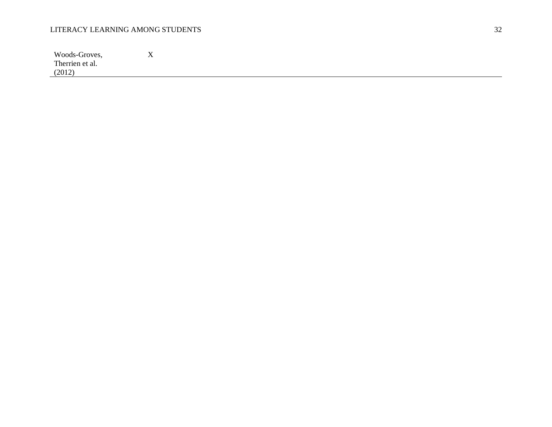| Woods-Groves,   | --<br>$\mathbf{A}$ |
|-----------------|--------------------|
| Therrien et al. |                    |
| (2012)          |                    |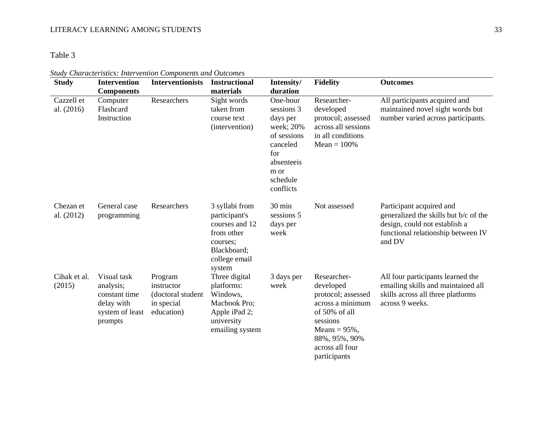# Table 3

*Study Characteristics: Intervention Components and Outcomes*

| <b>Study</b>               | <b>Intervention</b>                                                                   | <b>Interventionists</b>                                                | <b>Instructional</b>                                                                                                  | Intensity/                                                                                                                       | <b>Fidelity</b>                                                                                                                                                         | <b>Outcomes</b>                                                                                                                                    |
|----------------------------|---------------------------------------------------------------------------------------|------------------------------------------------------------------------|-----------------------------------------------------------------------------------------------------------------------|----------------------------------------------------------------------------------------------------------------------------------|-------------------------------------------------------------------------------------------------------------------------------------------------------------------------|----------------------------------------------------------------------------------------------------------------------------------------------------|
|                            | <b>Components</b>                                                                     |                                                                        | materials                                                                                                             | duration                                                                                                                         |                                                                                                                                                                         |                                                                                                                                                    |
| Cazzell et<br>al. $(2016)$ | Computer<br>Flashcard<br>Instruction                                                  | Researchers                                                            | Sight words<br>taken from<br>course text<br>(intervention)                                                            | One-hour<br>sessions 3<br>days per<br>week; 20%<br>of sessions<br>canceled<br>for<br>absenteeis<br>m or<br>schedule<br>conflicts | Researcher-<br>developed<br>protocol; assessed<br>across all sessions<br>in all conditions<br>$Mean = 100\%$                                                            | All participants acquired and<br>maintained novel sight words but<br>number varied across participants.                                            |
| Chezan et<br>al. (2012)    | General case<br>programming                                                           | Researchers                                                            | 3 syllabi from<br>participant's<br>courses and 12<br>from other<br>courses:<br>Blackboard;<br>college email<br>system | 30 min<br>sessions 5<br>days per<br>week                                                                                         | Not assessed                                                                                                                                                            | Participant acquired and<br>generalized the skills but b/c of the<br>design, could not establish a<br>functional relationship between IV<br>and DV |
| Cihak et al.<br>(2015)     | Visual task<br>analysis;<br>constant time<br>delay with<br>system of least<br>prompts | Program<br>instructor<br>(doctoral student<br>in special<br>education) | Three digital<br>platforms:<br>Windows,<br>Macbook Pro;<br>Apple iPad 2;<br>university<br>emailing system             | 3 days per<br>week                                                                                                               | Researcher-<br>developed<br>protocol; assessed<br>across a minimum<br>of 50% of all<br>sessions<br>Means = $95\%$ ,<br>88%, 95%, 90%<br>across all four<br>participants | All four participants learned the<br>emailing skills and maintained all<br>skills across all three platforms<br>across 9 weeks.                    |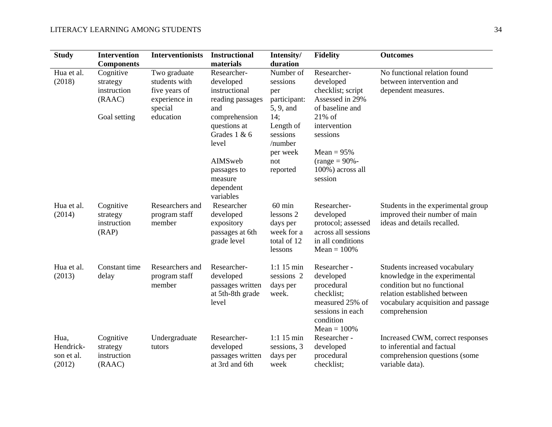| <b>Study</b>                              | <b>Intervention</b><br><b>Components</b>                       | <b>Interventionists</b>                                                                 | <b>Instructional</b><br>materials                                                     | Intensity/<br>duration                                                            | <b>Fidelity</b>                                                                                                             | <b>Outcomes</b>                                                                                                                                                                      |
|-------------------------------------------|----------------------------------------------------------------|-----------------------------------------------------------------------------------------|---------------------------------------------------------------------------------------|-----------------------------------------------------------------------------------|-----------------------------------------------------------------------------------------------------------------------------|--------------------------------------------------------------------------------------------------------------------------------------------------------------------------------------|
| Hua et al.<br>(2018)                      | Cognitive<br>strategy<br>instruction<br>(RAAC)<br>Goal setting | Two graduate<br>students with<br>five years of<br>experience in<br>special<br>education | Researcher-<br>developed<br>instructional<br>reading passages<br>and<br>comprehension | Number of<br>sessions<br>per<br>participant:<br>5, 9, and<br>14;                  | Researcher-<br>developed<br>checklist; script<br>Assessed in 29%<br>of baseline and<br>$21\%$ of                            | No functional relation found<br>between intervention and<br>dependent measures.                                                                                                      |
|                                           |                                                                |                                                                                         | questions at<br>Grades 1 & 6<br>level                                                 | Length of<br>sessions<br>/number                                                  | intervention<br>sessions                                                                                                    |                                                                                                                                                                                      |
|                                           |                                                                |                                                                                         | AIMSweb<br>passages to<br>measure<br>dependent<br>variables                           | per week<br>not<br>reported                                                       | Mean = $95%$<br>$(range = 90\% -$<br>100%) across all<br>session                                                            |                                                                                                                                                                                      |
| Hua et al.<br>(2014)                      | Cognitive<br>strategy<br>instruction<br>(RAP)                  | Researchers and<br>program staff<br>member                                              | Researcher<br>developed<br>expository<br>passages at 6th<br>grade level               | $60 \text{ min}$<br>lessons 2<br>days per<br>week for a<br>total of 12<br>lessons | Researcher-<br>developed<br>protocol; assessed<br>across all sessions<br>in all conditions<br>$Mean = 100\%$                | Students in the experimental group<br>improved their number of main<br>ideas and details recalled.                                                                                   |
| Hua et al.<br>(2013)                      | Constant time<br>delay                                         | Researchers and<br>program staff<br>member                                              | Researcher-<br>developed<br>passages written<br>at 5th-8th grade<br>level             | $1:115 \text{ min}$<br>sessions 2<br>days per<br>week.                            | Researcher -<br>developed<br>procedural<br>checklist;<br>measured 25% of<br>sessions in each<br>condition<br>$Mean = 100\%$ | Students increased vocabulary<br>knowledge in the experimental<br>condition but no functional<br>relation established between<br>vocabulary acquisition and passage<br>comprehension |
| Hua,<br>Hendrick-<br>son et al.<br>(2012) | Cognitive<br>strategy<br>instruction<br>(RAAC)                 | Undergraduate<br>tutors                                                                 | Researcher-<br>developed<br>passages written<br>at 3rd and 6th                        | $1:1$ 15 min<br>sessions, 3<br>days per<br>week                                   | Researcher -<br>developed<br>procedural<br>checklist;                                                                       | Increased CWM, correct responses<br>to inferential and factual<br>comprehension questions (some<br>variable data).                                                                   |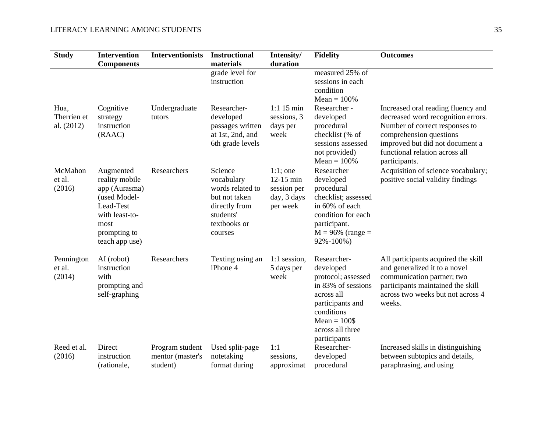| <b>Study</b>                      | <b>Intervention</b><br><b>Components</b>                                                                                              | <b>Interventionists</b>                         | <b>Instructional</b><br>materials                                                                                   | Intensity/<br>duration                                               | <b>Fidelity</b>                                                                                                                                                           | <b>Outcomes</b>                                                                                                                                                                                                             |
|-----------------------------------|---------------------------------------------------------------------------------------------------------------------------------------|-------------------------------------------------|---------------------------------------------------------------------------------------------------------------------|----------------------------------------------------------------------|---------------------------------------------------------------------------------------------------------------------------------------------------------------------------|-----------------------------------------------------------------------------------------------------------------------------------------------------------------------------------------------------------------------------|
|                                   |                                                                                                                                       |                                                 | grade level for<br>instruction                                                                                      |                                                                      | measured 25% of<br>sessions in each<br>condition<br>$Mean = 100\%$                                                                                                        |                                                                                                                                                                                                                             |
| Hua,<br>Therrien et<br>al. (2012) | Cognitive<br>strategy<br>instruction<br>(RAAC)                                                                                        | Undergraduate<br>tutors                         | Researcher-<br>developed<br>passages written<br>at 1st, 2nd, and<br>6th grade levels                                | $1:115 \text{ min}$<br>sessions, 3<br>days per<br>week               | Researcher -<br>developed<br>procedural<br>checklist (% of<br>sessions assessed<br>not provided)<br>$Mean = 100\%$                                                        | Increased oral reading fluency and<br>decreased word recognition errors.<br>Number of correct responses to<br>comprehension questions<br>improved but did not document a<br>functional relation across all<br>participants. |
| McMahon<br>et al.<br>(2016)       | Augmented<br>reality mobile<br>app (Aurasma)<br>(used Model-<br>Lead-Test<br>with least-to-<br>most<br>prompting to<br>teach app use) | Researchers                                     | Science<br>vocabulary<br>words related to<br>but not taken<br>directly from<br>students'<br>textbooks or<br>courses | $1:1$ ; one<br>$12-15$ min<br>session per<br>day, 3 days<br>per week | Researcher<br>developed<br>procedural<br>checklist; assessed<br>in 60% of each<br>condition for each<br>participant.<br>$M = 96\%$ (range =<br>$92\% - 100\%$             | Acquisition of science vocabulary;<br>positive social validity findings                                                                                                                                                     |
| Pennington<br>et al.<br>(2014)    | AI (robot)<br>instruction<br>with<br>prompting and<br>self-graphing                                                                   | Researchers                                     | Texting using an<br>iPhone 4                                                                                        | 1:1 session,<br>5 days per<br>week                                   | Researcher-<br>developed<br>protocol; assessed<br>in 83% of sessions<br>across all<br>participants and<br>conditions<br>$Mean = 100\$<br>across all three<br>participants | All participants acquired the skill<br>and generalized it to a novel<br>communication partner; two<br>participants maintained the skill<br>across two weeks but not across 4<br>weeks.                                      |
| Reed et al.<br>(2016)             | Direct<br>instruction<br>(rationale,                                                                                                  | Program student<br>mentor (master's<br>student) | Used split-page<br>notetaking<br>format during                                                                      | 1:1<br>sessions,<br>approximat                                       | Researcher-<br>developed<br>procedural                                                                                                                                    | Increased skills in distinguishing<br>between subtopics and details,<br>paraphrasing, and using                                                                                                                             |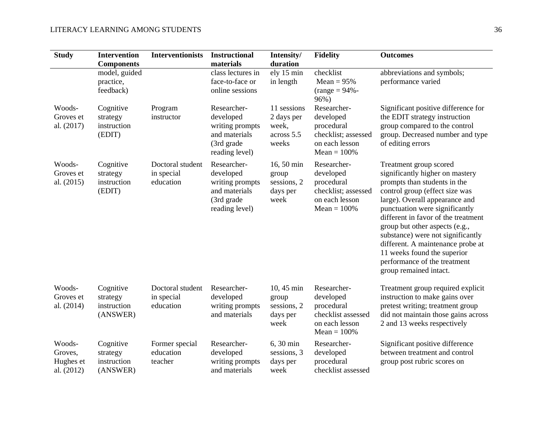| <b>Study</b>                                 | <b>Intervention</b><br><b>Components</b>         | <b>Interventionists</b>                     | <b>Instructional</b><br>materials                                                            | Intensity/<br>duration                                    | <b>Fidelity</b>                                                                                   | <b>Outcomes</b>                                                                                                                                                                                                                                                                                                                                                                                                                             |
|----------------------------------------------|--------------------------------------------------|---------------------------------------------|----------------------------------------------------------------------------------------------|-----------------------------------------------------------|---------------------------------------------------------------------------------------------------|---------------------------------------------------------------------------------------------------------------------------------------------------------------------------------------------------------------------------------------------------------------------------------------------------------------------------------------------------------------------------------------------------------------------------------------------|
|                                              | model, guided<br>practice,<br>feedback)          |                                             | class lectures in<br>face-to-face or<br>online sessions                                      | ely 15 min<br>in length                                   | checklist<br>$Mean = 95%$<br>$(range = 94% -$<br>96%)                                             | abbreviations and symbols;<br>performance varied                                                                                                                                                                                                                                                                                                                                                                                            |
| Woods-<br>Groves et<br>al. (2017)            | Cognitive<br>strategy<br>instruction<br>(EDIT)   | Program<br>instructor                       | Researcher-<br>developed<br>writing prompts<br>and materials<br>(3rd grade<br>reading level) | 11 sessions<br>2 days per<br>week,<br>across 5.5<br>weeks | Researcher-<br>developed<br>procedural<br>checklist; assessed<br>on each lesson<br>$Mean = 100\%$ | Significant positive difference for<br>the EDIT strategy instruction<br>group compared to the control<br>group. Decreased number and type<br>of editing errors                                                                                                                                                                                                                                                                              |
| Woods-<br>Groves et<br>al. $(2015)$          | Cognitive<br>strategy<br>instruction<br>(EDIT)   | Doctoral student<br>in special<br>education | Researcher-<br>developed<br>writing prompts<br>and materials<br>(3rd grade<br>reading level) | 16, 50 min<br>group<br>sessions, 2<br>days per<br>week    | Researcher-<br>developed<br>procedural<br>checklist; assessed<br>on each lesson<br>$Mean = 100\%$ | Treatment group scored<br>significantly higher on mastery<br>prompts than students in the<br>control group (effect size was<br>large). Overall appearance and<br>punctuation were significantly<br>different in favor of the treatment<br>group but other aspects (e.g.,<br>substance) were not significantly<br>different. A maintenance probe at<br>11 weeks found the superior<br>performance of the treatment<br>group remained intact. |
| Woods-<br>Groves et<br>al. (2014)            | Cognitive<br>strategy<br>instruction<br>(ANSWER) | Doctoral student<br>in special<br>education | Researcher-<br>developed<br>writing prompts<br>and materials                                 | 10, 45 min<br>group<br>sessions, 2<br>days per<br>week    | Researcher-<br>developed<br>procedural<br>checklist assessed<br>on each lesson<br>$Mean = 100\%$  | Treatment group required explicit<br>instruction to make gains over<br>pretest writing; treatment group<br>did not maintain those gains across<br>2 and 13 weeks respectively                                                                                                                                                                                                                                                               |
| Woods-<br>Groves,<br>Hughes et<br>al. (2012) | Cognitive<br>strategy<br>instruction<br>(ANSWER) | Former special<br>education<br>teacher      | Researcher-<br>developed<br>writing prompts<br>and materials                                 | 6, 30 min<br>sessions, 3<br>days per<br>week              | Researcher-<br>developed<br>procedural<br>checklist assessed                                      | Significant positive difference<br>between treatment and control<br>group post rubric scores on                                                                                                                                                                                                                                                                                                                                             |